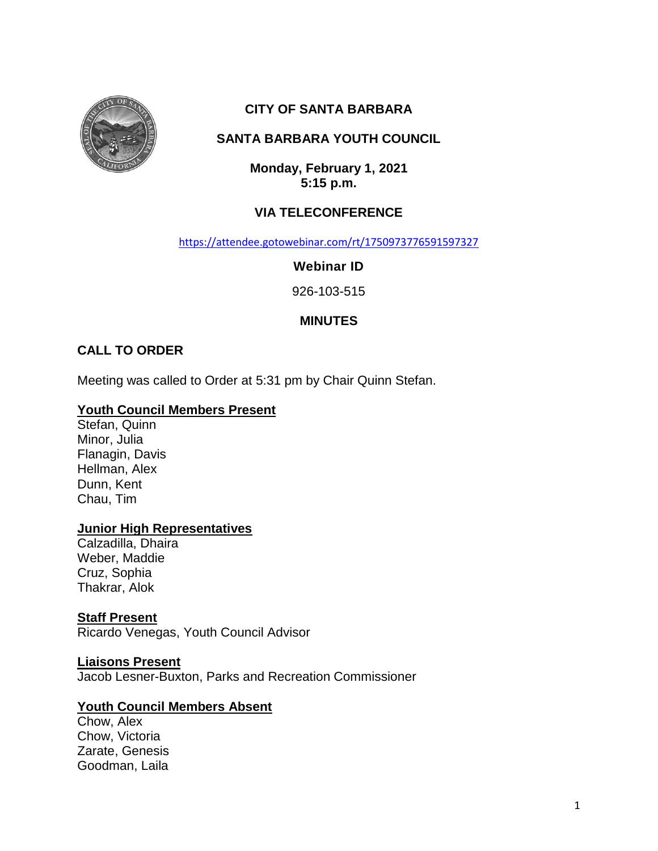

# **CITY OF SANTA BARBARA**

# **SANTA BARBARA YOUTH COUNCIL**

**Monday, February 1, 2021 5:15 p.m.**

# **VIA TELECONFERENCE**

<https://attendee.gotowebinar.com/rt/1750973776591597327>

**Webinar ID**

926-103-515

# **MINUTES**

## **CALL TO ORDER**

Meeting was called to Order at 5:31 pm by Chair Quinn Stefan.

#### **Youth Council Members Present**

Stefan, Quinn Minor, Julia Flanagin, Davis Hellman, Alex Dunn, Kent Chau, Tim

### **Junior High Representatives**

Calzadilla, Dhaira Weber, Maddie Cruz, Sophia Thakrar, Alok

## **Staff Present**

Ricardo Venegas, Youth Council Advisor

#### **Liaisons Present**

Jacob Lesner-Buxton, Parks and Recreation Commissioner

### **Youth Council Members Absent**

Chow, Alex Chow, Victoria Zarate, Genesis Goodman, Laila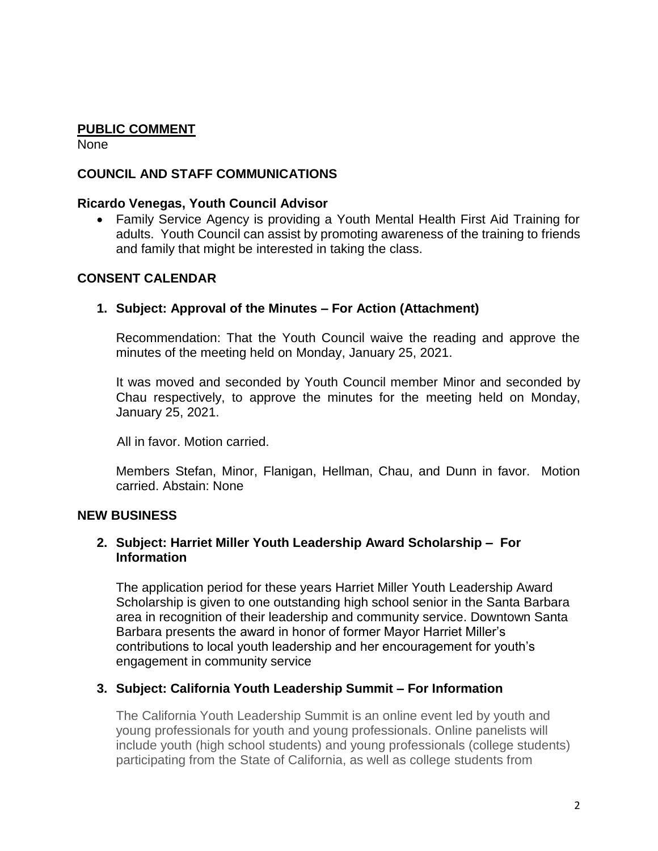## **PUBLIC COMMENT**

None

### **COUNCIL AND STAFF COMMUNICATIONS**

#### **Ricardo Venegas, Youth Council Advisor**

 Family Service Agency is providing a Youth Mental Health First Aid Training for adults. Youth Council can assist by promoting awareness of the training to friends and family that might be interested in taking the class.

### **CONSENT CALENDAR**

### **1. Subject: Approval of the Minutes – For Action (Attachment)**

Recommendation: That the Youth Council waive the reading and approve the minutes of the meeting held on Monday, January 25, 2021.

It was moved and seconded by Youth Council member Minor and seconded by Chau respectively, to approve the minutes for the meeting held on Monday, January 25, 2021.

All in favor. Motion carried.

Members Stefan, Minor, Flanigan, Hellman, Chau, and Dunn in favor. Motion carried. Abstain: None

### **NEW BUSINESS**

## **2. Subject: Harriet Miller Youth Leadership Award Scholarship – For Information**

The application period for these years Harriet Miller Youth Leadership Award Scholarship is given to one outstanding high school senior in the Santa Barbara area in recognition of their leadership and community service. Downtown Santa Barbara presents the award in honor of former Mayor Harriet Miller's contributions to local youth leadership and her encouragement for youth's engagement in community service

### **3. Subject: California Youth Leadership Summit – For Information**

The California Youth Leadership Summit is an online event led by youth and young professionals for youth and young professionals. Online panelists will include youth (high school students) and young professionals (college students) participating from the State of California, as well as college students from